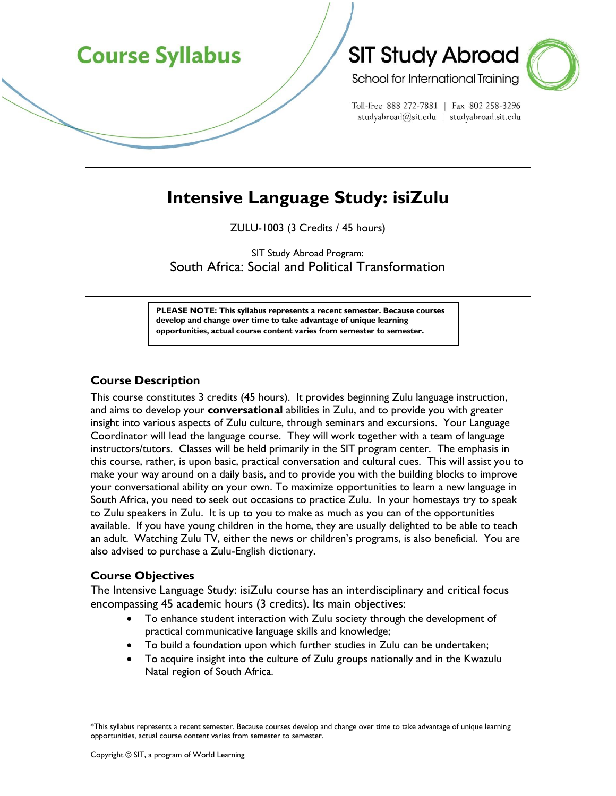# **Course Syllabus**

## **SIT Study Abroad**



School for International Training

Toll-free 888 272-7881 | Fax 802 258-3296 studyabroad@sit.edu | studyabroad.sit.edu

## **Intensive Language Study: isiZulu**

ZULU-1003 (3 Credits / 45 hours)

SIT Study Abroad Program: South Africa: Social and Political Transformation

**PLEASE NOTE: This syllabus represents a recent semester. Because courses develop and change over time to take advantage of unique learning opportunities, actual course content varies from semester to semester.** 

## **Course Description**

This course constitutes 3 credits (45 hours). It provides beginning Zulu language instruction, and aims to develop your **conversational** abilities in Zulu, and to provide you with greater insight into various aspects of Zulu culture, through seminars and excursions. Your Language Coordinator will lead the language course. They will work together with a team of language instructors/tutors. Classes will be held primarily in the SIT program center. The emphasis in this course, rather, is upon basic, practical conversation and cultural cues. This will assist you to make your way around on a daily basis, and to provide you with the building blocks to improve your conversational ability on your own. To maximize opportunities to learn a new language in South Africa, you need to seek out occasions to practice Zulu. In your homestays try to speak to Zulu speakers in Zulu. It is up to you to make as much as you can of the opportunities available. If you have young children in the home, they are usually delighted to be able to teach an adult. Watching Zulu TV, either the news or children's programs, is also beneficial. You are also advised to purchase a Zulu-English dictionary.

## **Course Objectives**

The Intensive Language Study: isiZulu course has an interdisciplinary and critical focus encompassing 45 academic hours (3 credits). Its main objectives:

- To enhance student interaction with Zulu society through the development of practical communicative language skills and knowledge;
- To build a foundation upon which further studies in Zulu can be undertaken;
- To acquire insight into the culture of Zulu groups nationally and in the Kwazulu Natal region of South Africa.

\*This syllabus represents a recent semester. Because courses develop and change over time to take advantage of unique learning opportunities, actual course content varies from semester to semester.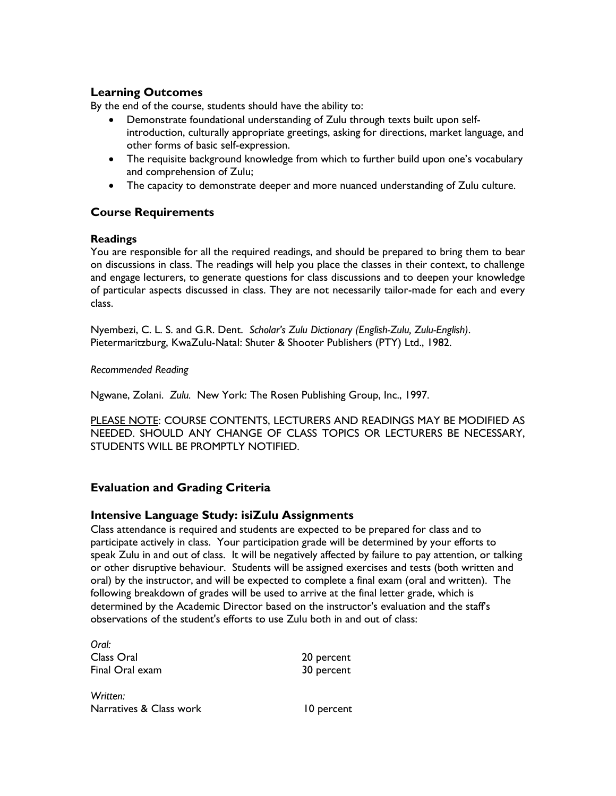## **Learning Outcomes**

By the end of the course, students should have the ability to:

- Demonstrate foundational understanding of Zulu through texts built upon selfintroduction, culturally appropriate greetings, asking for directions, market language, and other forms of basic self-expression.
- The requisite background knowledge from which to further build upon one's vocabulary and comprehension of Zulu;
- The capacity to demonstrate deeper and more nuanced understanding of Zulu culture.

## **Course Requirements**

### **Readings**

You are responsible for all the required readings, and should be prepared to bring them to bear on discussions in class. The readings will help you place the classes in their context, to challenge and engage lecturers, to generate questions for class discussions and to deepen your knowledge of particular aspects discussed in class. They are not necessarily tailor-made for each and every class.

Nyembezi, C. L. S. and G.R. Dent. *Scholar's Zulu Dictionary (English-Zulu, Zulu-English)*. Pietermaritzburg, KwaZulu-Natal: Shuter & Shooter Publishers (PTY) Ltd., 1982.

### *Recommended Reading*

Ngwane, Zolani. *Zulu.* New York: The Rosen Publishing Group, Inc., 1997.

PLEASE NOTE: COURSE CONTENTS, LECTURERS AND READINGS MAY BE MODIFIED AS NEEDED. SHOULD ANY CHANGE OF CLASS TOPICS OR LECTURERS BE NECESSARY, STUDENTS WILL BE PROMPTLY NOTIFIED.

## **Evaluation and Grading Criteria**

## **Intensive Language Study: isiZulu Assignments**

Class attendance is required and students are expected to be prepared for class and to participate actively in class. Your participation grade will be determined by your efforts to speak Zulu in and out of class. It will be negatively affected by failure to pay attention, or talking or other disruptive behaviour. Students will be assigned exercises and tests (both written and oral) by the instructor, and will be expected to complete a final exam (oral and written). The following breakdown of grades will be used to arrive at the final letter grade, which is determined by the Academic Director based on the instructor's evaluation and the staff's observations of the student's efforts to use Zulu both in and out of class:

*Oral:*  Class Oral 20 percent Final Oral exam 30 percent

*Written:* Narratives & Class work 10 percent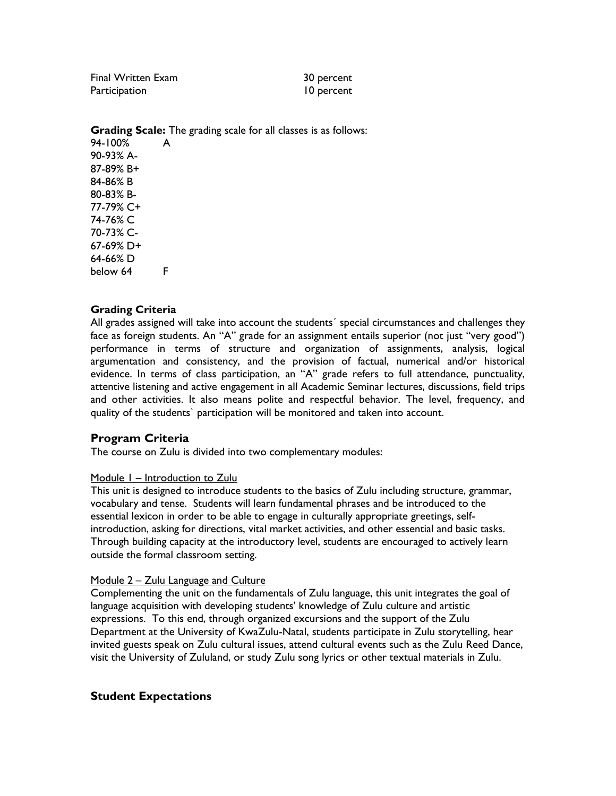Final Written Exam 30 percent Participation and 10 percent

**Grading Scale:** The grading scale for all classes is as follows:

94-100% A 90-93% A-87-89% B+ 84-86% B 80-83% B-77-79% C+ 74-76% C 70-73% C-67-69% D+ 64-66% D below 64 F

### **Grading Criteria**

All grades assigned will take into account the students´ special circumstances and challenges they face as foreign students. An "A" grade for an assignment entails superior (not just "very good") performance in terms of structure and organization of assignments, analysis, logical argumentation and consistency, and the provision of factual, numerical and/or historical evidence. In terms of class participation, an "A" grade refers to full attendance, punctuality, attentive listening and active engagement in all Academic Seminar lectures, discussions, field trips and other activities. It also means polite and respectful behavior. The level, frequency, and quality of the students` participation will be monitored and taken into account.

### **Program Criteria**

The course on Zulu is divided into two complementary modules:

### Module 1 – Introduction to Zulu

This unit is designed to introduce students to the basics of Zulu including structure, grammar, vocabulary and tense. Students will learn fundamental phrases and be introduced to the essential lexicon in order to be able to engage in culturally appropriate greetings, selfintroduction, asking for directions, vital market activities, and other essential and basic tasks. Through building capacity at the introductory level, students are encouraged to actively learn outside the formal classroom setting.

#### Module 2 – Zulu Language and Culture

Complementing the unit on the fundamentals of Zulu language, this unit integrates the goal of language acquisition with developing students' knowledge of Zulu culture and artistic expressions. To this end, through organized excursions and the support of the Zulu Department at the University of KwaZulu-Natal, students participate in Zulu storytelling, hear invited guests speak on Zulu cultural issues, attend cultural events such as the Zulu Reed Dance, visit the University of Zululand, or study Zulu song lyrics or other textual materials in Zulu.

### **Student Expectations**